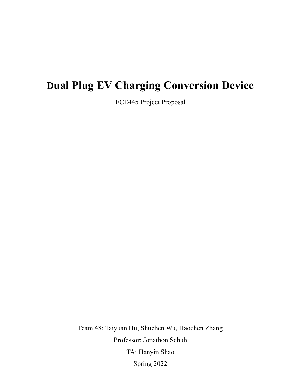# **Dual Plug EV Charging Conversion Device**

ECE445 Project Proposal

Team 48: Taiyuan Hu, Shuchen Wu, Haochen Zhang Professor: Jonathon Schuh TA: Hanyin Shao Spring 2022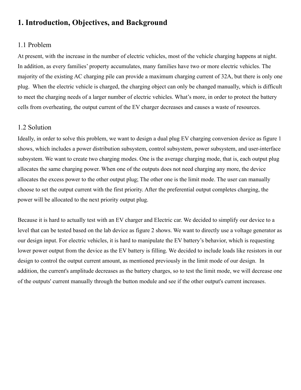## **1. Introduction, Objectives, and Background**

#### 1.1 Problem

At present, with the increase in the number of electric vehicles, most of the vehicle charging happens at night. In addition, as every families' property accumulates, many families have two or more electric vehicles. The majority of the existing AC charging pile can provide a maximum charging current of 32A, but there is only one plug. When the electric vehicle is charged, the charging object can only be changed manually, which is difficult to meet the charging needs of a larger number of electric vehicles. What's more, in order to protect the battery cells from overheating, the output current of the EV charger decreases and causes a waste of resources.

#### 1.2 Solution

Ideally, in order to solve this problem, we want to design a dual plug EV charging conversion device as figure 1 shows, which includes a power distribution subsystem, control subsystem, power subsystem, and user-interface subsystem. We want to create two charging modes. One is the average charging mode, that is, each output plug allocates the same charging power. When one of the outputs does not need charging any more, the device allocates the excess power to the other output plug; The other one is the limit mode. The user can manually choose to set the output current with the first priority. After the preferential output completes charging, the power will be allocated to the next priority output plug.

Because it is hard to actually test with an EV charger and Electric car. We decided to simplify our device to a level that can be tested based on the lab device as figure 2 shows. We want to directly use a voltage generator as our design input. For electric vehicles, it is hard to manipulate the EV battery's behavior, which is requesting lower power output from the device as the EV battery is filling. We decided to include loads like resistors in our design to control the output current amount, as mentioned previously in the limit mode of our design. In addition, the current's amplitude decreases as the battery charges, so to test the limit mode, we will decrease one of the outputs' current manually through the button module and see if the other output's current increases.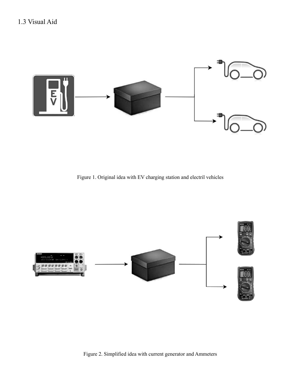

Figure 1. Original idea with EV charging station and electril vehicles



Figure 2. Simplified idea with current generator and Ammeters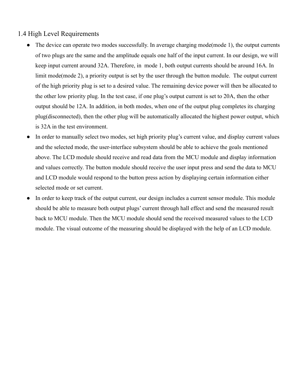#### 1.4 High Level Requirements

- The device can operate two modes successfully. In average charging mode(mode 1), the output currents of two plugs are the same and the amplitude equals one half of the input current. In our design, we will keep input current around 32A. Therefore, in mode 1, both output currents should be around 16A. In limit mode(mode 2), a priority output is set by the user through the button module. The output current of the high priority plug is set to a desired value. The remaining device power will then be allocated to the other low priority plug. In the test case, if one plug's output current is set to 20A, then the other output should be 12A. In addition, in both modes, when one of the output plug completes its charging plug(disconnected), then the other plug will be automatically allocated the highest power output, which is 32A in the test environment.
- In order to manually select two modes, set high priority plug's current value, and display current values and the selected mode, the user-interface subsystem should be able to achieve the goals mentioned above. The LCD module should receive and read data from the MCU module and display information and values correctly. The button module should receive the user input press and send the data to MCU and LCD module would respond to the button press action by displaying certain information either selected mode or set current.
- In order to keep track of the output current, our design includes a current sensor module. This module should be able to measure both output plugs' current through hall effect and send the measured result back to MCU module. Then the MCU module should send the received measured values to the LCD module. The visual outcome of the measuring should be displayed with the help of an LCD module.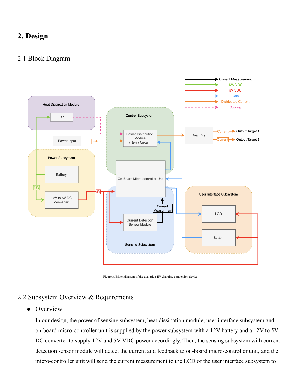## **2. Design**

#### 2.1 Block Diagram



Figure 3. Block diagram of the dual plug EV charging conversion device

#### 2.2 Subsystem Overview & Requirements

#### • Overview

In our design, the power of sensing subsystem, heat dissipation module, user interface subsystem and on-board micro-controller unit is supplied by the power subsystem with a 12V battery and a 12V to 5V DC converter to supply 12V and 5V VDC power accordingly. Then, the sensing subsystem with current detection sensor module will detect the current and feedback to on-board micro-controller unit, and the micro-controller unit will send the current measurement to the LCD of the user interface subsystem to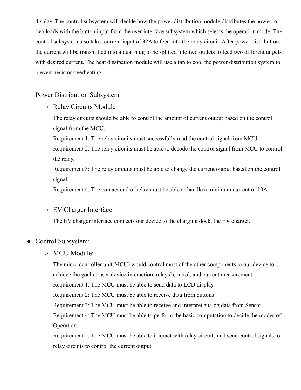display. The control subsystem will decide how the power distribution module distributes the power to two loads with the button input from the user interface subsystem which selects the operation mode. The control subsystem also takes current input of 32A to feed into the relay circuit. After power distribution, the current will be transmitted into a dual plug to be splitted into two outlets to feed two different targets with desired current. The heat dissipation module will use a fan to cool the power distribution system to prevent resistor overheating.

#### Power Distribution Subsystem

○ Relay Circuits Module

The relay circuits should be able to control the amount of current output based on the control signal from the MCU.

Requirement 1: The relay circuits must successfully read the control signal from MCU.

Requirement 2: The relay circuits must be able to decode the control signal from MCU to control the relay.

Requirement 3: The relay circuits must be able to change the current output based on the control signal

Requirement 4: The contact end of relay must be able to handle a minimum current of 10A

#### ○ EV Charger Interface

The EV charger interface connects our device to the charging dock, the EV charger.

#### • Control Subsystem:

#### ○ MCU Module:

The micro controller unit(MCU) would control most of the other components in our device to achieve the goal of user-device interaction, relays' control, and current measurement.

Requirement 1: The MCU must be able to send data to LCD display

Requirement 2: The MCU must be able to receive data from buttons

Requirement 3: The MCU must be able to receive and interpret analog data from Sensor

Requirement 4: The MCU must be able to perform the basic computation to decide the modes of Operation.

Requirement 5: The MCU must be able to interact with relay circuits and send control signals to relay circuits to control the current output.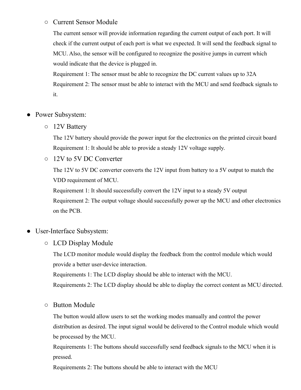#### ○ Current Sensor Module

The current sensor will provide information regarding the current output of each port. It will check if the current output of each port is what we expected. It will send the feedback signal to MCU. Also, the sensor will be configured to recognize the positive jumps in current which would indicate that the device is plugged in.

Requirement 1: The sensor must be able to recognize the DC current values up to 32A Requirement 2: The sensor must be able to interact with the MCU and send feedback signals to it.

- Power Subsystem:
	- 12V Battery

The 12V battery should provide the power input for the electronics on the printed circuit board Requirement 1: It should be able to provide a steady 12V voltage supply.

○ 12V to 5V DC Converter

The 12V to 5V DC converter converts the 12V input from battery to a 5V output to match the VDD requirement of MCU.

Requirement 1: It should successfully convert the 12V input to a steady 5V output Requirement 2: The output voltage should successfully power up the MCU and other electronics on the PCB.

- User-Interface Subsystem:
	- LCD Display Module

The LCD monitor module would display the feedback from the control module which would provide a better user-device interaction.

Requirements 1: The LCD display should be able to interact with the MCU.

Requirements 2: The LCD display should be able to display the correct content as MCU directed.

○ Button Module

The button would allow users to set the working modes manually and control the power distribution as desired. The input signal would be delivered to the Control module which would be processed by the MCU.

Requirements 1: The buttons should successfully send feedback signals to the MCU when it is pressed.

Requirements 2: The buttons should be able to interact with the MCU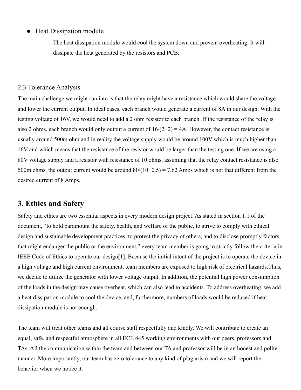#### • Heat Dissipation module

The heat dissipation module would cool the system down and prevent overheating. It will dissipate the heat generated by the resistors and PCB.

#### 2.3 Tolerance Analysis

The main challenge we might run into is that the relay might have a resistance which would share the voltage and lower the current output. In ideal cases, each branch would generate a current of 8A in our design. With the testing voltage of 16V, we would need to add a 2 ohm resistor to each branch. If the resistance of the relay is also 2 ohms, each branch would only output a current of  $16/(2+2) = 4A$ . However, the contact resistance is usually around 500m ohm and in reality the voltage supply would be around 100V which is much higher than 16V and which means that the resistance of the resistor would be larger than the testing one. If we are using a 80V voltage supply and a resistor with resistance of 10 ohms, assuming that the relay contact resistance is also 500m ohms, the output current would be around  $80/(10+0.5) = 7.62$  Amps which is not that different from the desired current of 8 Amps.

## **3. Ethics and Safety**

Safety and ethics are two essential aspects in every modern design project. As stated in section 1.1 of the document, "to hold paramount the safety, health, and welfare of the public, to strive to comply with ethical design and sustainable development practices, to protect the privacy of others, and to disclose promptly factors that might endanger the public or the environment," every team member is going to strictly follow the criteria in IEEE Code of Ethics to operate our design[1]. Because the initial intent of the project is to operate the device in a high voltage and high current environment, team members are exposed to high risk of electrical hazards.Thus, we decide to utilize the generator with lower voltage output. In addition, the potential high power consumption of the loads in the design may cause overheat, which can also lead to accidents. To address overheating, we add a heat dissipation module to cool the device, and, furthermore, numbers of loads would be reduced if heat dissipation module is not enough.

The team will treat other teams and all course staff respectfully and kindly. We will contribute to create an equal, safe, and respectful atmosphere in all ECE 445 working environments with our peers, professors and TAs. All the communication within the team and between our TA and professor will be in an honest and polite manner. More importantly, our team has zero tolerance to any kind of plagiarism and we will report the behavior when we notice it.